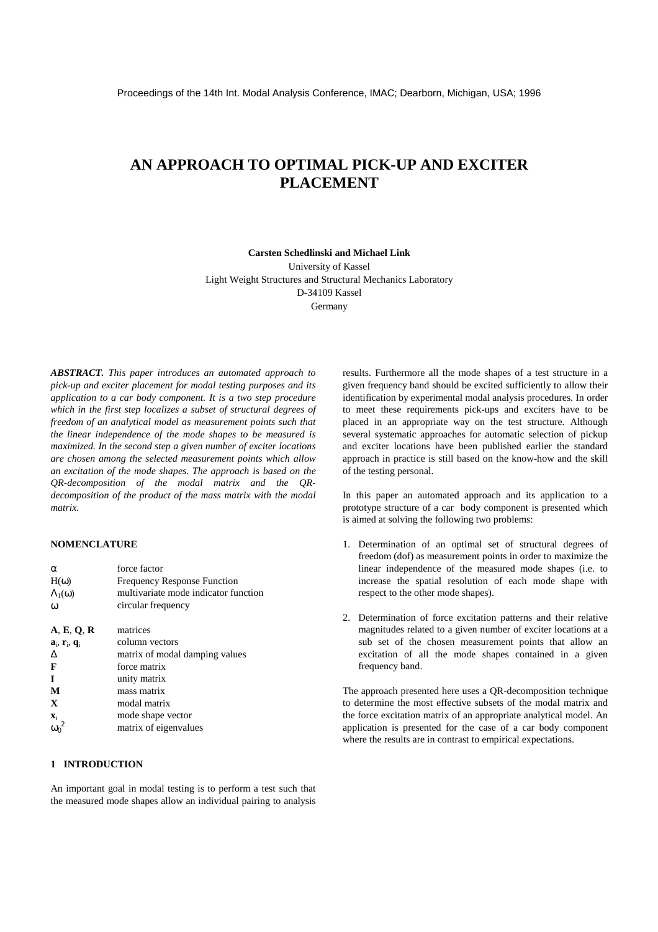# **AN APPROACH TO OPTIMAL PICK-UP AND EXCITER PLACEMENT**

## **Carsten Schedlinski and Michael Link**

University of Kassel Light Weight Structures and Structural Mechanics Laboratory

> D-34109 Kassel Germany

*ABSTRACT. This paper introduces an automated approach to pick-up and exciter placement for modal testing purposes and its application to a car body component. It is a two step procedure which in the first step localizes a subset of structural degrees of freedom of an analytical model as measurement points such that the linear independence of the mode shapes to be measured is maximized. In the second step a given number of exciter locations are chosen among the selected measurement points which allow an excitation of the mode shapes. The approach is based on the QR-decomposition of the modal matrix and the QRdecomposition of the product of the mass matrix with the modal matrix.*

## **NOMENCLATURE**

| $\alpha$                                         | force factor                         |
|--------------------------------------------------|--------------------------------------|
| $H(\omega)$                                      | <b>Frequency Response Function</b>   |
| $\Lambda_1(\omega)$                              | multivariate mode indicator function |
| $\omega$                                         | circular frequency                   |
| A, E, Q, R                                       | matrices                             |
| $\mathbf{a}_i$ , $\mathbf{r}_i$ , $\mathbf{q}_i$ | column vectors                       |
| Δ                                                | matrix of modal damping values       |
| F                                                | force matrix                         |
| T                                                | unity matrix                         |
| M                                                | mass matrix                          |
| $\mathbf{X}$                                     | modal matrix                         |
| $\mathbf{X}_i$                                   | mode shape vector                    |
| $\omega_0$                                       | matrix of eigenvalues                |

# **1 INTRODUCTION**

An important goal in modal testing is to perform a test such that the measured mode shapes allow an individual pairing to analysis results. Furthermore all the mode shapes of a test structure in a given frequency band should be excited sufficiently to allow their identification by experimental modal analysis procedures. In order to meet these requirements pick-ups and exciters have to be placed in an appropriate way on the test structure. Although several systematic approaches for automatic selection of pickup and exciter locations have been published earlier the standard approach in practice is still based on the know-how and the skill of the testing personal.

In this paper an automated approach and its application to a prototype structure of a car body component is presented which is aimed at solving the following two problems:

- 1. Determination of an optimal set of structural degrees of freedom (dof) as measurement points in order to maximize the linear independence of the measured mode shapes (i.e. to increase the spatial resolution of each mode shape with respect to the other mode shapes).
- 2. Determination of force excitation patterns and their relative magnitudes related to a given number of exciter locations at a sub set of the chosen measurement points that allow an excitation of all the mode shapes contained in a given frequency band.

The approach presented here uses a QR-decomposition technique to determine the most effective subsets of the modal matrix and the force excitation matrix of an appropriate analytical model. An application is presented for the case of a car body component where the results are in contrast to empirical expectations.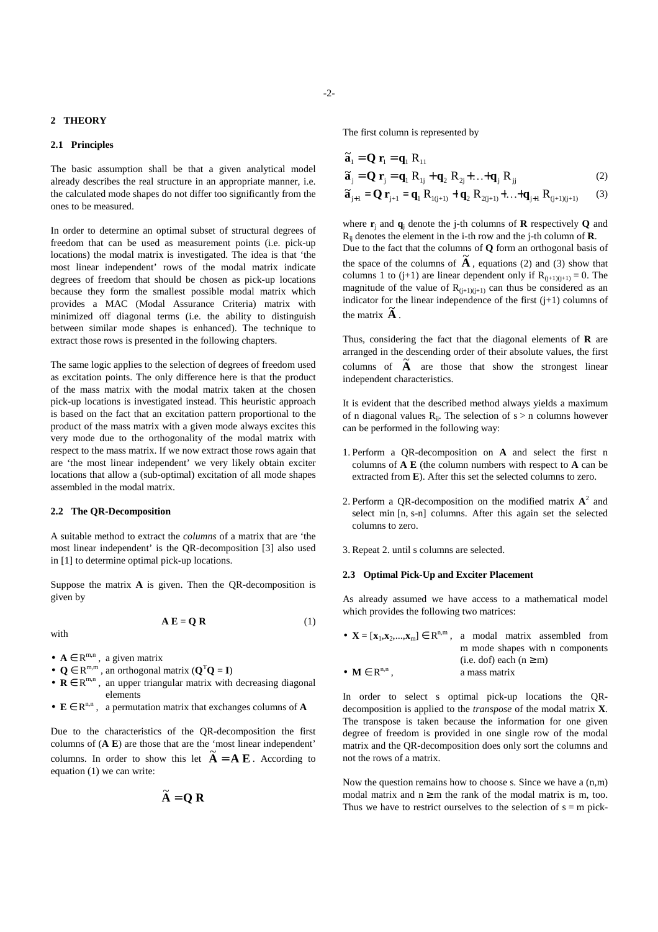## **2 THEORY**

#### **2.1 Principles**

The basic assumption shall be that a given analytical model already describes the real structure in an appropriate manner, i.e. the calculated mode shapes do not differ too significantly from the ones to be measured.

In order to determine an optimal subset of structural degrees of freedom that can be used as measurement points (i.e. pick-up locations) the modal matrix is investigated. The idea is that 'the most linear independent' rows of the modal matrix indicate degrees of freedom that should be chosen as pick-up locations because they form the smallest possible modal matrix which provides a MAC (Modal Assurance Criteria) matrix with minimized off diagonal terms (i.e. the ability to distinguish between similar mode shapes is enhanced). The technique to extract those rows is presented in the following chapters.

The same logic applies to the selection of degrees of freedom used as excitation points. The only difference here is that the product of the mass matrix with the modal matrix taken at the chosen pick-up locations is investigated instead. This heuristic approach is based on the fact that an excitation pattern proportional to the product of the mass matrix with a given mode always excites this very mode due to the orthogonality of the modal matrix with respect to the mass matrix. If we now extract those rows again that are 'the most linear independent' we very likely obtain exciter locations that allow a (sub-optimal) excitation of all mode shapes assembled in the modal matrix.

#### **2.2 The QR-Decomposition**

A suitable method to extract the *columns* of a matrix that are 'the most linear independent' is the QR-decomposition [3] also used in [1] to determine optimal pick-up locations.

Suppose the matrix **A** is given. Then the QR-decomposition is given by

$$
\mathbf{A} \mathbf{E} = \mathbf{Q} \mathbf{R} \tag{1}
$$

with

- $A \in R^{m,n}$ , a given matrix
- $\mathbf{Q} \in \mathbb{R}^{\text{m,m}}$ , an orthogonal matrix  $(\mathbf{Q}^{\text{T}}\mathbf{Q} = \mathbf{I})$
- $\mathbf{R} \in \mathbb{R}^{m,n}$ , an upper triangular matrix with decreasing diagonal elements
- $E \in R^{n,n}$ , a permutation matrix that exchanges columns of **A**

Due to the characteristics of the QR-decomposition the first columns of (**A E**) are those that are the 'most linear independent' columns. In order to show this let  $\tilde{A} = A E$ . According to equation (1) we can write:

$$
\widetilde{\mathbf{A}} = \mathbf{Q} \mathbf{R}
$$

$$
\tilde{\mathbf{a}}_1 = \mathbf{Q} \mathbf{r}_1 = \mathbf{q}_1 \mathbf{R}_{11} \n\tilde{\mathbf{a}}_j = \mathbf{Q} \mathbf{r}_j = \mathbf{q}_1 \mathbf{R}_{1j} + \mathbf{q}_2 \mathbf{R}_{2j} + ... + \mathbf{q}_j \mathbf{R}_{jj}
$$
\n(2)\n
$$
\tilde{\mathbf{a}}_{j+1} = \mathbf{Q} \mathbf{r}_{j+1} = \mathbf{q}_1 \mathbf{R}_{1(j+1)} + \mathbf{q}_2 \mathbf{R}_{2(j+1)} + ... + \mathbf{q}_{j+1} \mathbf{R}_{(j+1)(j+1)}
$$
\n(3)

where  $\mathbf{r}_j$  and  $\mathbf{q}_j$  denote the j-th columns of **R** respectively **Q** and Rij denotes the element in the i-th row and the j-th column of **R**. Due to the fact that the columns of **Q** form an orthogonal basis of the space of the columns of  $\tilde{A}$ , equations (2) and (3) show that columns 1 to (j+1) are linear dependent only if  $R_{(i+1)(i+1)} = 0$ . The magnitude of the value of  $R_{(i+1)(i+1)}$  can thus be considered as an indicator for the linear independence of the first  $(j+1)$  columns of the matrix  $\tilde{A}$ .

Thus, considering the fact that the diagonal elements of **R** are arranged in the descending order of their absolute values, the first columns of  $\tilde{A}$  are those that show the strongest linear independent characteristics.

It is evident that the described method always yields a maximum of n diagonal values  $R_{ii}$ . The selection of s > n columns however can be performed in the following way:

- 1. Perform a QR-decomposition on **A** and select the first n columns of **A E** (the column numbers with respect to **A** can be extracted from **E**). After this set the selected columns to zero.
- 2. Perform a QR-decomposition on the modified matrix  $A^2$  and select min [n, s-n] columns. After this again set the selected columns to zero.
- 3. Repeat 2. until s columns are selected.

# **2.3 Optimal Pick-Up and Exciter Placement**

As already assumed we have access to a mathematical model which provides the following two matrices:

| • $X = [x_1, x_2, , x_m] \in R^{n,m}$ , a modal matrix assembled from |               |                             |                                 |  |
|-----------------------------------------------------------------------|---------------|-----------------------------|---------------------------------|--|
|                                                                       |               |                             | m mode shapes with n components |  |
|                                                                       |               | (i.e. dof) each $(n \ge m)$ |                                 |  |
| $\bullet \mathbf{M} \in \mathbb{R}^{n,n}$ ,                           | a mass matrix |                             |                                 |  |

In order to select s optimal pick-up locations the QRdecomposition is applied to the *transpose* of the modal matrix **X**. The transpose is taken because the information for one given degree of freedom is provided in one single row of the modal matrix and the QR-decomposition does only sort the columns and not the rows of a matrix.

Now the question remains how to choose s. Since we have a (n,m) modal matrix and  $n \ge m$  the rank of the modal matrix is m, too. Thus we have to restrict ourselves to the selection of  $s = m$  pick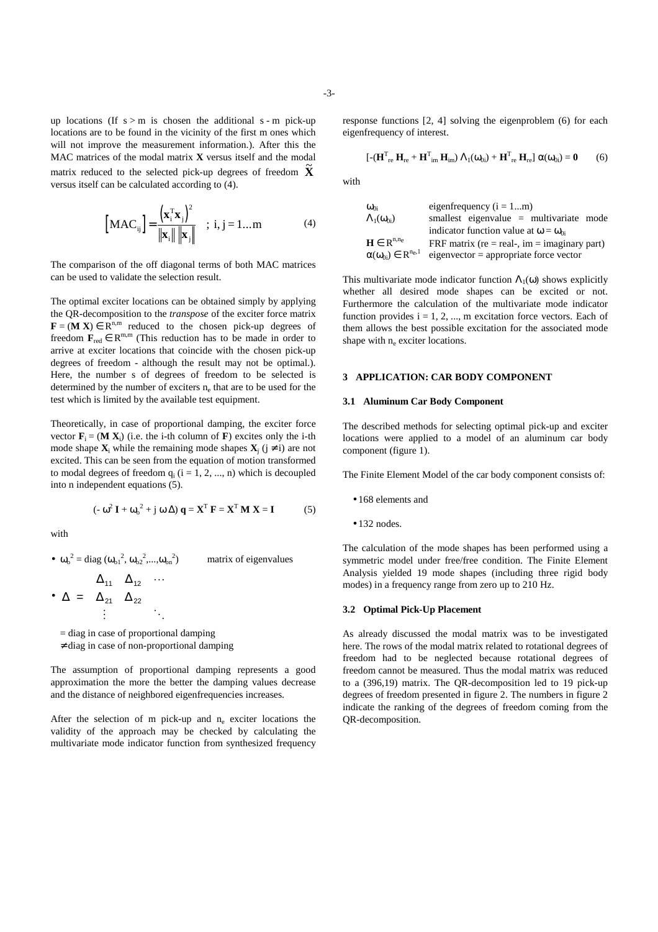up locations (If  $s > m$  is chosen the additional s - m pick-up locations are to be found in the vicinity of the first m ones which will not improve the measurement information.). After this the MAC matrices of the modal matrix **X** versus itself and the modal matrix reduced to the selected pick-up degrees of freedom  $\tilde{\mathbf{X}}$ versus itself can be calculated according to (4).

$$
\left[\mathbf{MAC}_{ij}\right] = \frac{\left(\mathbf{x}_i^{\mathrm{T}} \mathbf{x}_j\right)^2}{\left\|\mathbf{x}_i\right\| \left\|\mathbf{x}_j\right\|} \quad ; \ i, j = 1...m \tag{4}
$$

The comparison of the off diagonal terms of both MAC matrices can be used to validate the selection result.

The optimal exciter locations can be obtained simply by applying the QR-decomposition to the *transpose* of the exciter force matrix  $\mathbf{F} = (\mathbf{M} \mathbf{X}) \in \mathbb{R}^{n,m}$  reduced to the chosen pick-up degrees of freedom  $\mathbf{F}_{\text{red}} \in \mathbb{R}^{m,m}$  (This reduction has to be made in order to arrive at exciter locations that coincide with the chosen pick-up degrees of freedom - although the result may not be optimal.). Here, the number s of degrees of freedom to be selected is determined by the number of exciters  $n_e$  that are to be used for the test which is limited by the available test equipment.

Theoretically, in case of proportional damping, the exciter force vector  $\mathbf{F}_i = (\mathbf{M} \mathbf{X}_i)$  (i.e. the i-th column of **F**) excites only the i-th mode shape  $X_i$  while the remaining mode shapes  $X_j$  ( $j \neq i$ ) are not excited. This can be seen from the equation of motion transformed to modal degrees of freedom  $q_i$  ( $i = 1, 2, ..., n$ ) which is decoupled into n independent equations (5).

$$
(-\omega^2 \mathbf{I} + \omega_o^2 + j \omega \Delta) \mathbf{q} = \mathbf{X}^{\mathrm{T}} \mathbf{F} = \mathbf{X}^{\mathrm{T}} \mathbf{M} \mathbf{X} = \mathbf{I}
$$
 (5)

with

- $\omega_0^2 = \text{diag}(\omega_{01}^2, \omega_{02}^2, ..., \omega_{0n}^2)$ ) matrix of eigenvalues
- ∆ = 11  $\frac{1}{2}$  12 21  $\rightarrow$  22  $\Delta_{11}$   $\Delta$  $\Delta_{21}$   $\Delta$  i ya K I L  $\mathsf{I}$  $\mathsf{I}$ L  $\overline{\phantom{a}}$  $\overline{\phantom{a}}$  $\overline{\phantom{a}}$  $\overline{\phantom{a}}$  $\overline{\phantom{a}}$

= diag in case of proportional damping

≠ diag in case of non-proportional damping

The assumption of proportional damping represents a good approximation the more the better the damping values decrease and the distance of neighbored eigenfrequencies increases.

After the selection of m pick-up and  $n_e$  exciter locations the validity of the approach may be checked by calculating the multivariate mode indicator function from synthesized frequency response functions [2, 4] solving the eigenproblem (6) for each eigenfrequency of interest.

$$
\left[ \boldsymbol{-} (\mathbf{H}^{\mathrm{T}}_{\mathrm{re}} \, \mathbf{H}_{\mathrm{re}} + \mathbf{H}^{\mathrm{T}}_{\mathrm{im}} \, \mathbf{H}_{\mathrm{im}}) \, \boldsymbol{\Lambda}_{1}(\boldsymbol{\omega}_{0i}) + \mathbf{H}^{\mathrm{T}}_{\mathrm{re}} \, \mathbf{H}_{\mathrm{re}} \right] \, \boldsymbol{\alpha}(\boldsymbol{\omega}_{0i}) = \mathbf{0} \tag{6}
$$

with

| $\omega_{0i}$                       | eigenfrequency $(i = 1m)$                          |  |  |  |  |
|-------------------------------------|----------------------------------------------------|--|--|--|--|
| $\Lambda_1(\omega_{0i})$            | smallest eigenvalue $=$ multivariate mode          |  |  |  |  |
|                                     | indicator function value at $\omega = \omega_{0i}$ |  |  |  |  |
| $H \in R^{n,n_e}$                   | FRF matrix (re = real-, im = imaginary part)       |  |  |  |  |
| $\alpha(\omega_{0i}) \in R^{n_e,1}$ | eigenvector = appropriate force vector             |  |  |  |  |

This multivariate mode indicator function  $\Lambda_1(\omega)$  shows explicitly whether all desired mode shapes can be excited or not. Furthermore the calculation of the multivariate mode indicator function provides  $i = 1, 2, \dots$ , m excitation force vectors. Each of them allows the best possible excitation for the associated mode shape with n<sub>e</sub> exciter locations.

#### **3 APPLICATION: CAR BODY COMPONENT**

#### **3.1 Aluminum Car Body Component**

The described methods for selecting optimal pick-up and exciter locations were applied to a model of an aluminum car body component (figure 1).

The Finite Element Model of the car body component consists of:

- 168 elements and
- 132 nodes.

The calculation of the mode shapes has been performed using a symmetric model under free/free condition. The Finite Element Analysis yielded 19 mode shapes (including three rigid body modes) in a frequency range from zero up to 210 Hz.

## **3.2 Optimal Pick-Up Placement**

As already discussed the modal matrix was to be investigated here. The rows of the modal matrix related to rotational degrees of freedom had to be neglected because rotational degrees of freedom cannot be measured. Thus the modal matrix was reduced to a (396,19) matrix. The QR-decomposition led to 19 pick-up degrees of freedom presented in figure 2. The numbers in figure 2 indicate the ranking of the degrees of freedom coming from the QR-decomposition.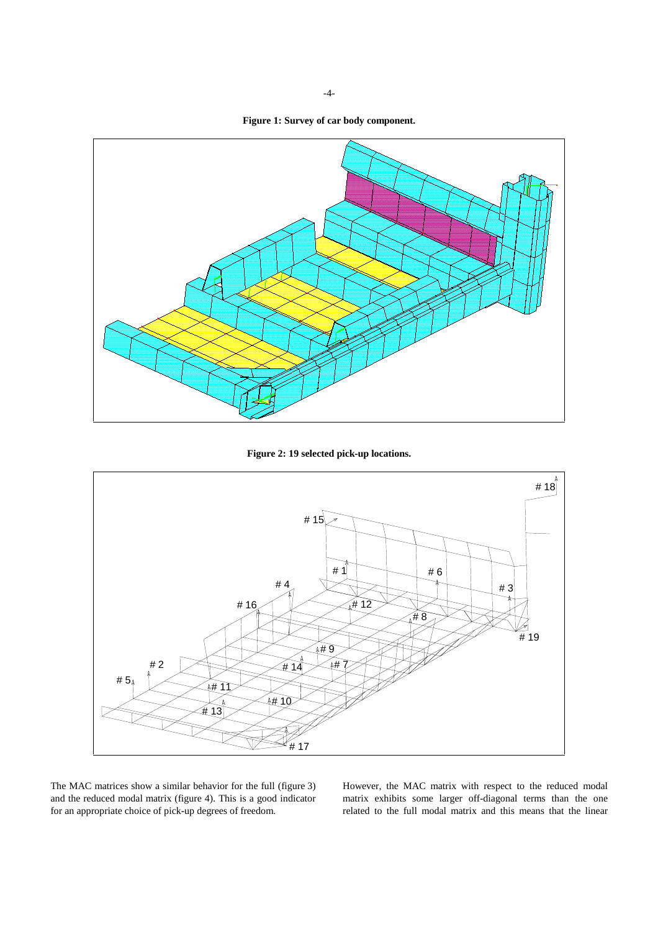



**Figure 2: 19 selected pick-up locations.**



The MAC matrices show a similar behavior for the full (figure 3) and the reduced modal matrix (figure 4). This is a good indicator for an appropriate choice of pick-up degrees of freedom.

However, the MAC matrix with respect to the reduced modal matrix exhibits some larger off-diagonal terms than the one related to the full modal matrix and this means that the linear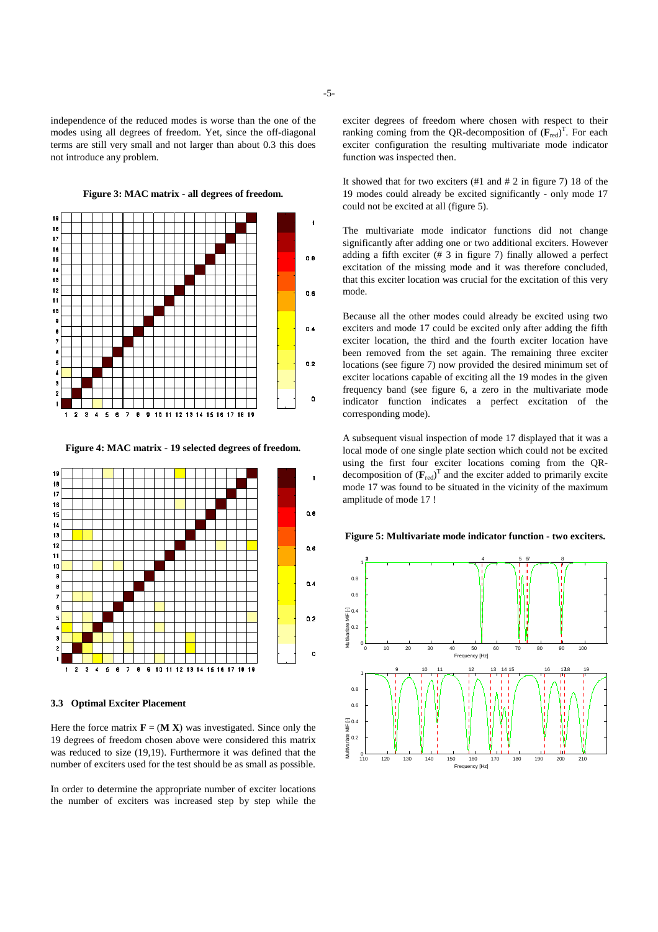independence of the reduced modes is worse than the one of the modes using all degrees of freedom. Yet, since the off-diagonal terms are still very small and not larger than about 0.3 this does not introduce any problem.

**Figure 3: MAC matrix - all degrees of freedom.**



**Figure 4: MAC matrix - 19 selected degrees of freedom.**



# **3.3 Optimal Exciter Placement**

Here the force matrix  $\mathbf{F} = (\mathbf{M} \mathbf{X})$  was investigated. Since only the 19 degrees of freedom chosen above were considered this matrix was reduced to size (19,19). Furthermore it was defined that the number of exciters used for the test should be as small as possible.

In order to determine the appropriate number of exciter locations the number of exciters was increased step by step while the exciter degrees of freedom where chosen with respect to their ranking coming from the QR-decomposition of  $(F_{\text{red}})^T$ . For each exciter configuration the resulting multivariate mode indicator function was inspected then.

It showed that for two exciters (#1 and # 2 in figure 7) 18 of the 19 modes could already be excited significantly - only mode 17 could not be excited at all (figure 5).

The multivariate mode indicator functions did not change significantly after adding one or two additional exciters. However adding a fifth exciter (# 3 in figure 7) finally allowed a perfect excitation of the missing mode and it was therefore concluded, that this exciter location was crucial for the excitation of this very mode.

Because all the other modes could already be excited using two exciters and mode 17 could be excited only after adding the fifth exciter location, the third and the fourth exciter location have been removed from the set again. The remaining three exciter locations (see figure 7) now provided the desired minimum set of exciter locations capable of exciting all the 19 modes in the given frequency band (see figure 6, a zero in the multivariate mode indicator function indicates a perfect excitation of the corresponding mode).

A subsequent visual inspection of mode 17 displayed that it was a local mode of one single plate section which could not be excited using the first four exciter locations coming from the QRdecomposition of  $(\mathbf{F}_{\text{red}})^T$  and the exciter added to primarily excite mode 17 was found to be situated in the vicinity of the maximum amplitude of mode 17 !

**Figure 5: Multivariate mode indicator function - two exciters.**

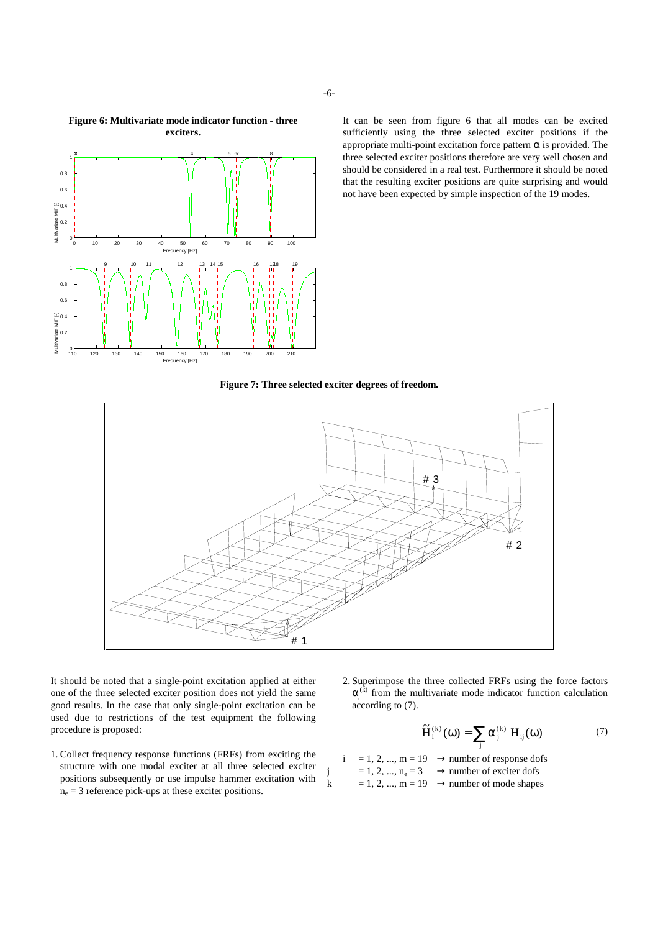

**Figure 6: Multivariate mode indicator function - three exciters.**

It can be seen from figure 6 that all modes can be excited sufficiently using the three selected exciter positions if the appropriate multi-point excitation force pattern  $\alpha$  is provided. The three selected exciter positions therefore are very well chosen and should be considered in a real test. Furthermore it should be noted that the resulting exciter positions are quite surprising and would not have been expected by simple inspection of the 19 modes.

**Figure 7: Three selected exciter degrees of freedom.**



It should be noted that a single-point excitation applied at either one of the three selected exciter position does not yield the same good results. In the case that only single-point excitation can be used due to restrictions of the test equipment the following procedure is proposed:

- 1. Collect frequency response functions (FRFs) from exciting the structure with one modal exciter at all three selected exciter positions subsequently or use impulse hammer excitation with  $n_e = 3$  reference pick-ups at these exciter positions.
- 2. Superimpose the three collected FRFs using the force factors  $\alpha_j^{(k)}$  from the multivariate mode indicator function calculation according to (7).

$$
\widetilde{H}_i^{(k)}(\omega) = \sum_j \alpha_j^{(k)} H_{ij}(\omega) \tag{7}
$$

$$
i = 1, 2, ..., m = 19
$$
 → number of response dots  
\n
$$
j = 1, 2, ..., n_e = 3
$$
 → number of exciter dots  
\n
$$
k = 1, 2, ..., m = 19
$$
 → number of mode shapes

-6-